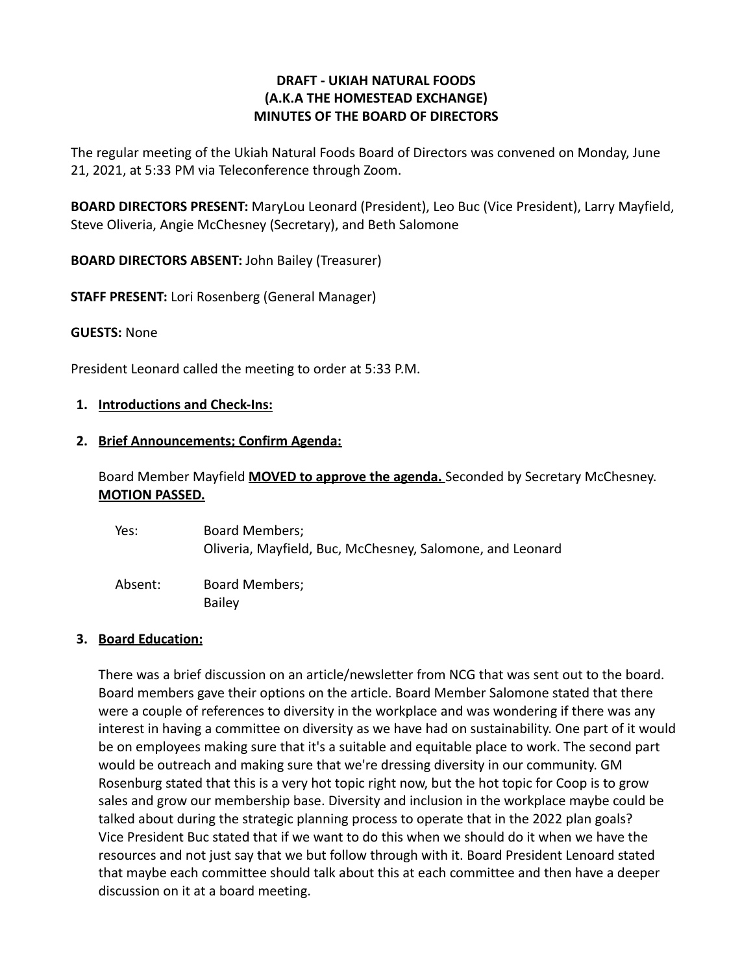# **DRAFT - UKIAH NATURAL FOODS (A.K.A THE HOMESTEAD EXCHANGE) MINUTES OF THE BOARD OF DIRECTORS**

The regular meeting of the Ukiah Natural Foods Board of Directors was convened on Monday, June 21, 2021, at 5:33 PM via Teleconference through Zoom.

**BOARD DIRECTORS PRESENT:** MaryLou Leonard (President), Leo Buc (Vice President), Larry Mayfield, Steve Oliveria, Angie McChesney (Secretary), and Beth Salomone

**BOARD DIRECTORS ABSENT:** John Bailey (Treasurer)

**STAFF PRESENT:** Lori Rosenberg (General Manager)

#### **GUESTS:** None

President Leonard called the meeting to order at 5:33 P.M.

#### **1. Introductions and Check-Ins:**

#### **2. Brief Announcements; Confirm Agenda:**

Board Member Mayfield **MOVED to approve the agenda.** Seconded by Secretary McChesney. **MOTION PASSED.**

| Yes:    | Board Members;<br>Oliveria, Mayfield, Buc, McChesney, Salomone, and Leonard |
|---------|-----------------------------------------------------------------------------|
| Absent: | Board Members;<br><b>Bailey</b>                                             |

#### **3. Board Education:**

There was a brief discussion on an article/newsletter from NCG that was sent out to the board. Board members gave their options on the article. Board Member Salomone stated that there were a couple of references to diversity in the workplace and was wondering if there was any interest in having a committee on diversity as we have had on sustainability. One part of it would be on employees making sure that it's a suitable and equitable place to work. The second part would be outreach and making sure that we're dressing diversity in our community. GM Rosenburg stated that this is a very hot topic right now, but the hot topic for Coop is to grow sales and grow our membership base. Diversity and inclusion in the workplace maybe could be talked about during the strategic planning process to operate that in the 2022 plan goals? Vice President Buc stated that if we want to do this when we should do it when we have the resources and not just say that we but follow through with it. Board President Lenoard stated that maybe each committee should talk about this at each committee and then have a deeper discussion on it at a board meeting.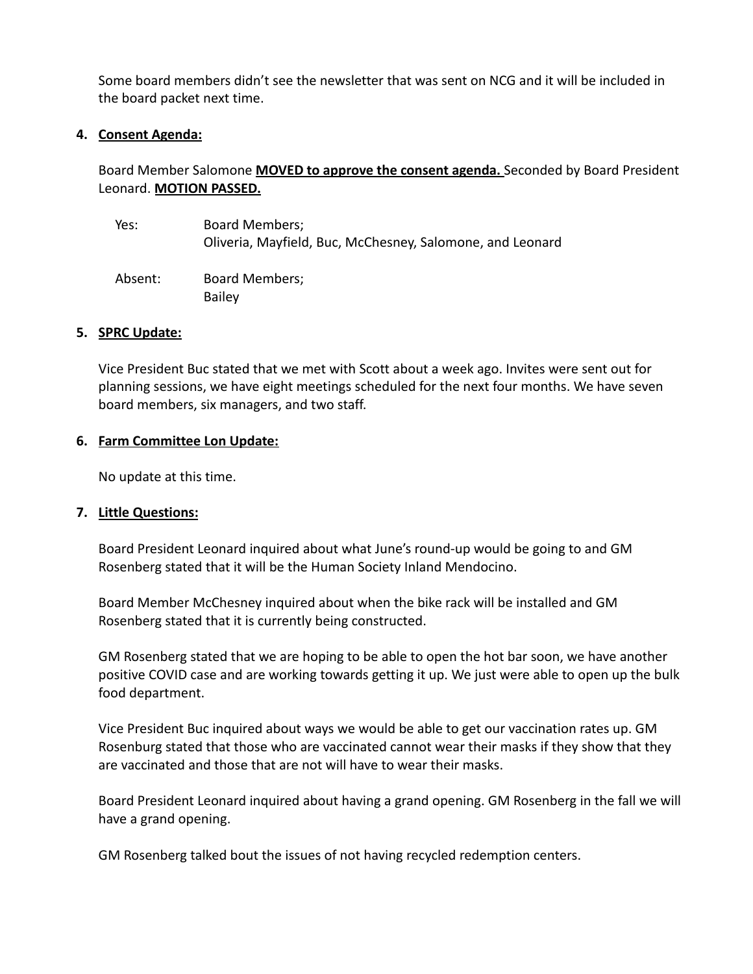Some board members didn't see the newsletter that was sent on NCG and it will be included in the board packet next time.

## **4. Consent Agenda:**

Board Member Salomone **MOVED to approve the consent agenda.** Seconded by Board President Leonard. **MOTION PASSED.**

Yes: Board Members; Oliveria, Mayfield, Buc, McChesney, Salomone, and Leonard Absent: Board Members; Bailey

### **5. SPRC Update:**

Vice President Buc stated that we met with Scott about a week ago. Invites were sent out for planning sessions, we have eight meetings scheduled for the next four months. We have seven board members, six managers, and two staff.

## **6. Farm Committee Lon Update:**

No update at this time.

### **7. Little Questions:**

Board President Leonard inquired about what June's round-up would be going to and GM Rosenberg stated that it will be the Human Society Inland Mendocino.

Board Member McChesney inquired about when the bike rack will be installed and GM Rosenberg stated that it is currently being constructed.

GM Rosenberg stated that we are hoping to be able to open the hot bar soon, we have another positive COVID case and are working towards getting it up. We just were able to open up the bulk food department.

Vice President Buc inquired about ways we would be able to get our vaccination rates up. GM Rosenburg stated that those who are vaccinated cannot wear their masks if they show that they are vaccinated and those that are not will have to wear their masks.

Board President Leonard inquired about having a grand opening. GM Rosenberg in the fall we will have a grand opening.

GM Rosenberg talked bout the issues of not having recycled redemption centers.